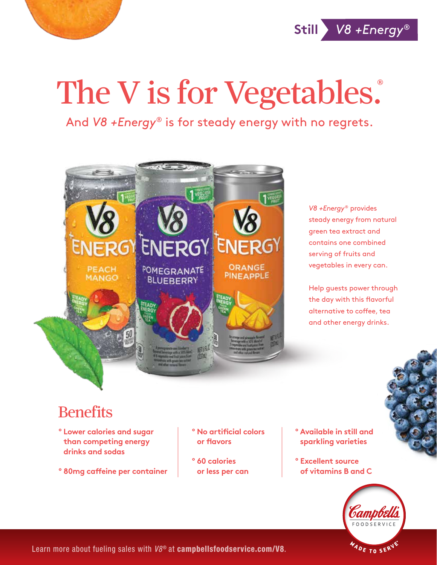

**Still** *V8 +Energy*®

## The V is for Vegetables.

And *V8 +Energy®* is for steady energy with no regrets.



*V8 +Energy*® provides steady energy from natural green tea extract and contains one combined serving of fruits and vegetables in every can.

Help guests power through the day with this flavorful alternative to coffee, tea and other energy drinks.

## **Benefits**

- **º Lower calories and sugar than competing energy drinks and sodas**
- **º 80mg caffeine per container**
- **º No artificial colors or flavors**
- **º 60 calories or less per can**
- **º Available in still and sparkling varieties**
- **º Excellent source of vitamins B and C**



Learn more about fueling sales with  $V8^{\circ}$  at campbellsfoodservice.com/V8.